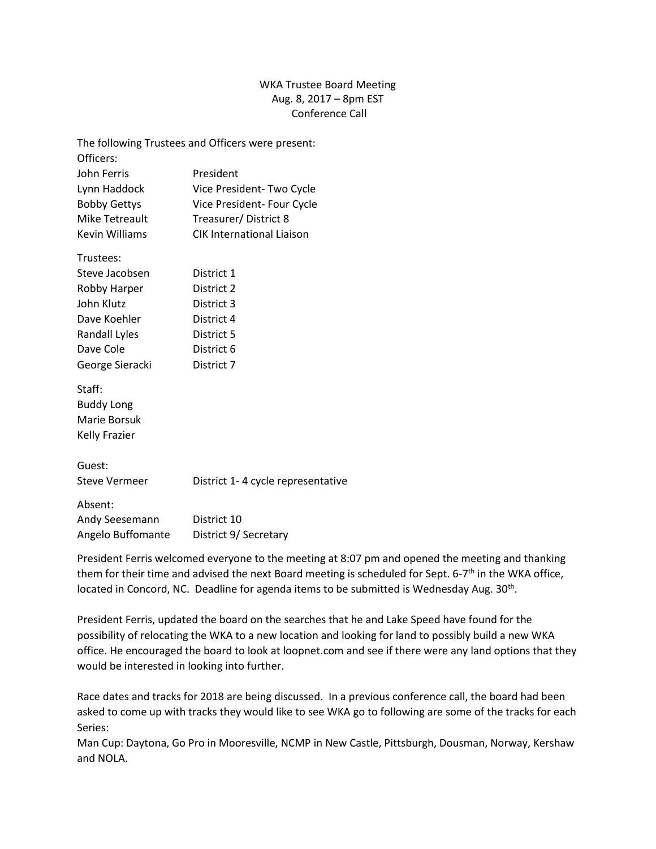## WKA Trustee Board Meeting Aug. 8, 2017 – 8pm EST Conference Call

| The following Trustees and Officers were present: |                                   |
|---------------------------------------------------|-----------------------------------|
| Officers:                                         |                                   |
| John Ferris                                       | President                         |
| Lynn Haddock                                      | Vice President-Two Cycle          |
| <b>Bobby Gettys</b>                               | Vice President- Four Cycle        |
| <b>Mike Tetreault</b>                             | Treasurer/District 8              |
| <b>Kevin Williams</b>                             | <b>CIK International Liaison</b>  |
| Trustees:                                         |                                   |
| Steve Jacobsen                                    | District 1                        |
| Robby Harper                                      | District 2                        |
| John Klutz                                        | District 3                        |
| Dave Koehler                                      | District 4                        |
| Randall Lyles                                     | District 5                        |
| Dave Cole                                         | District 6                        |
| George Sieracki                                   | District 7                        |
| Staff:                                            |                                   |
| <b>Buddy Long</b>                                 |                                   |
| Marie Borsuk                                      |                                   |
| <b>Kelly Frazier</b>                              |                                   |
| Guest:                                            |                                   |
| <b>Steve Vermeer</b>                              | District 1-4 cycle representative |
| Absent:                                           |                                   |
| Andy Seesemann                                    | District 10                       |
| Angelo Buffomante                                 | District 9/ Secretary             |
|                                                   |                                   |

President Ferris welcomed everyone to the meeting at 8:07 pm and opened the meeting and thanking them for their time and advised the next Board meeting is scheduled for Sept. 6-7<sup>th</sup> in the WKA office, located in Concord, NC. Deadline for agenda items to be submitted is Wednesday Aug. 30<sup>th</sup>.

President Ferris, updated the board on the searches that he and Lake Speed have found for the possibility of relocating the WKA to a new location and looking for land to possibly build a new WKA office. He encouraged the board to look at loopnet.com and see if there were any land options that they would be interested in looking into further.

Race dates and tracks for 2018 are being discussed. In a previous conference call, the board had been asked to come up with tracks they would like to see WKA go to following are some of the tracks for each Series:

Man Cup: Daytona, Go Pro in Mooresville, NCMP in New Castle, Pittsburgh, Dousman, Norway, Kershaw and NOLA.